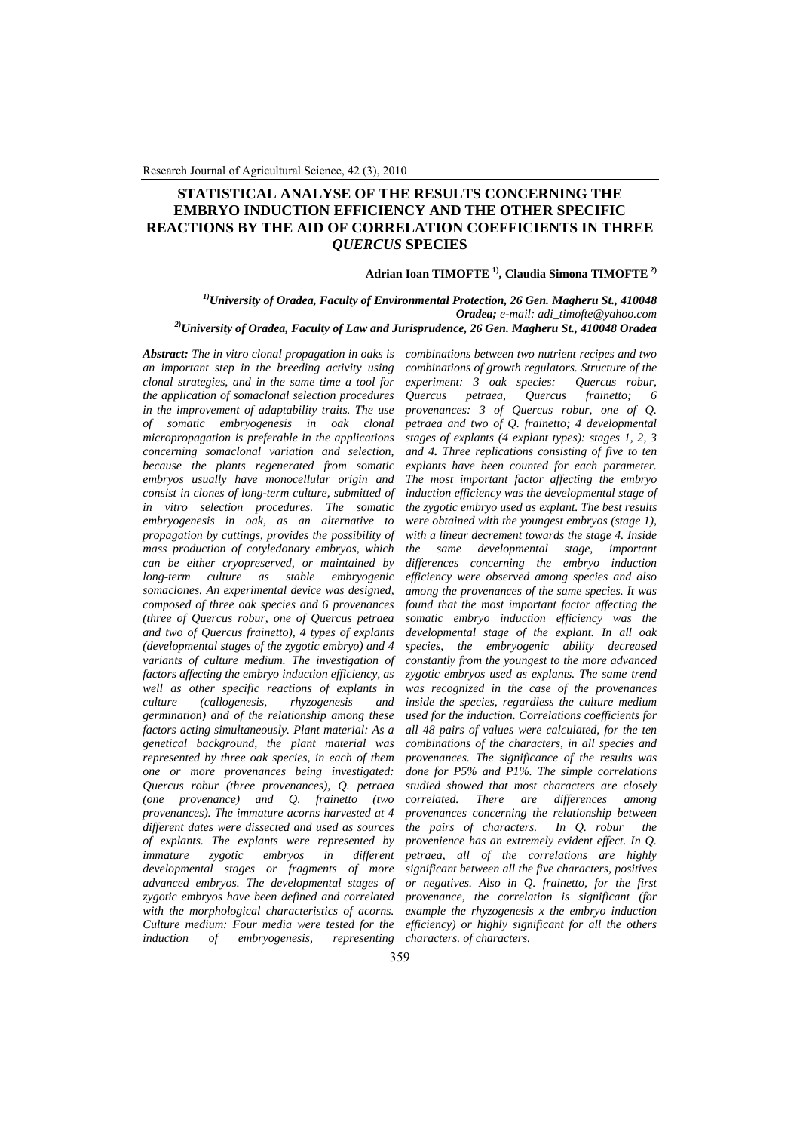# **STATISTICAL ANALYSE OF THE RESULTS CONCERNING THE EMBRYO INDUCTION EFFICIENCY AND THE OTHER SPECIFIC REACTIONS BY THE AID OF CORRELATION COEFFICIENTS IN THREE**  *QUERCUS* **SPECIES**

## **Adrian Ioan TIMOFTE 1), Claudia Simona TIMOFTE 2)**

*1)University of Oradea, Faculty of Environmental Protection, 26 Gen. Magheru St., 410048 Oradea; e-mail: [adi\\_timofte@yahoo.com](mailto:adi_timofte@yahoo.com)  2)University of Oradea, Faculty of Law and Jurisprudence, 26 Gen. Magheru St., 410048 Oradea* 

*Abstract: The in vitro clonal propagation in oaks is an important step in the breeding activity using clonal strategies, and in the same time a tool for the application of somaclonal selection procedures in the improvement of adaptability traits. The use of somatic embryogenesis in oak clonal micropropagation is preferable in the applications concerning somaclonal variation and selection, because the plants regenerated from somatic embryos usually have monocellular origin and consist in clones of long-term culture, submitted of in vitro selection procedures. The somatic embryogenesis in oak, as an alternative to propagation by cuttings, provides the possibility of mass production of cotyledonary embryos, which can be either cryopreserved, or maintained by long-term culture as stable embryogenic somaclones. An experimental device was designed, composed of three oak species and 6 provenances (three of Quercus robur, one of Quercus petraea and two of Quercus frainetto), 4 types of explants (developmental stages of the zygotic embryo) and 4 variants of culture medium. The investigation of factors affecting the embryo induction efficiency, as well as other specific reactions of explants in culture (callogenesis, rhyzogenesis and germination) and of the relationship among these factors acting simultaneously. Plant material: As a genetical background, the plant material was represented by three oak species, in each of them one or more provenances being investigated: Quercus robur (three provenances), Q. petraea (one provenance) and Q. frainetto (two provenances). The immature acorns harvested at 4 different dates were dissected and used as sources of explants. The explants were represented by immature zygotic embryos in different developmental stages or fragments of more advanced embryos. The developmental stages of zygotic embryos have been defined and correlated with the morphological characteristics of acorns. Culture medium: Four media were tested for the induction of embryogenesis, representing* 

*combinations between two nutrient recipes and two combinations of growth regulators. Structure of the experiment: 3 oak species: Quercus robur, Quercus petraea, Quercus frainetto; 6 provenances: 3 of Quercus robur, one of Q. petraea and two of Q. frainetto; 4 developmental stages of explants (4 explant types): stages 1, 2, 3 and 4. Three replications consisting of five to ten explants have been counted for each parameter. The most important factor affecting the embryo induction efficiency was the developmental stage of the zygotic embryo used as explant. The best results were obtained with the youngest embryos (stage 1), with a linear decrement towards the stage 4. Inside the same developmental stage, important differences concerning the embryo induction efficiency were observed among species and also among the provenances of the same species. It was found that the most important factor affecting the somatic embryo induction efficiency was the developmental stage of the explant. In all oak species, the embryogenic ability decreased constantly from the youngest to the more advanced zygotic embryos used as explants. The same trend was recognized in the case of the provenances inside the species, regardless the culture medium used for the induction. Correlations coefficients for all 48 pairs of values were calculated, for the ten combinations of the characters, in all species and provenances. The significance of the results was done for P5% and P1%. The simple correlations studied showed that most characters are closely correlated. There are differences among provenances concerning the relationship between the pairs of characters. In Q. robur the provenience has an extremely evident effect. In Q. petraea, all of the correlations are highly significant between all the five characters, positives or negatives. Also in Q. frainetto, for the first provenance, the correlation is significant (for example the rhyzogenesis x the embryo induction efficiency) or highly significant for all the others characters. of characters.*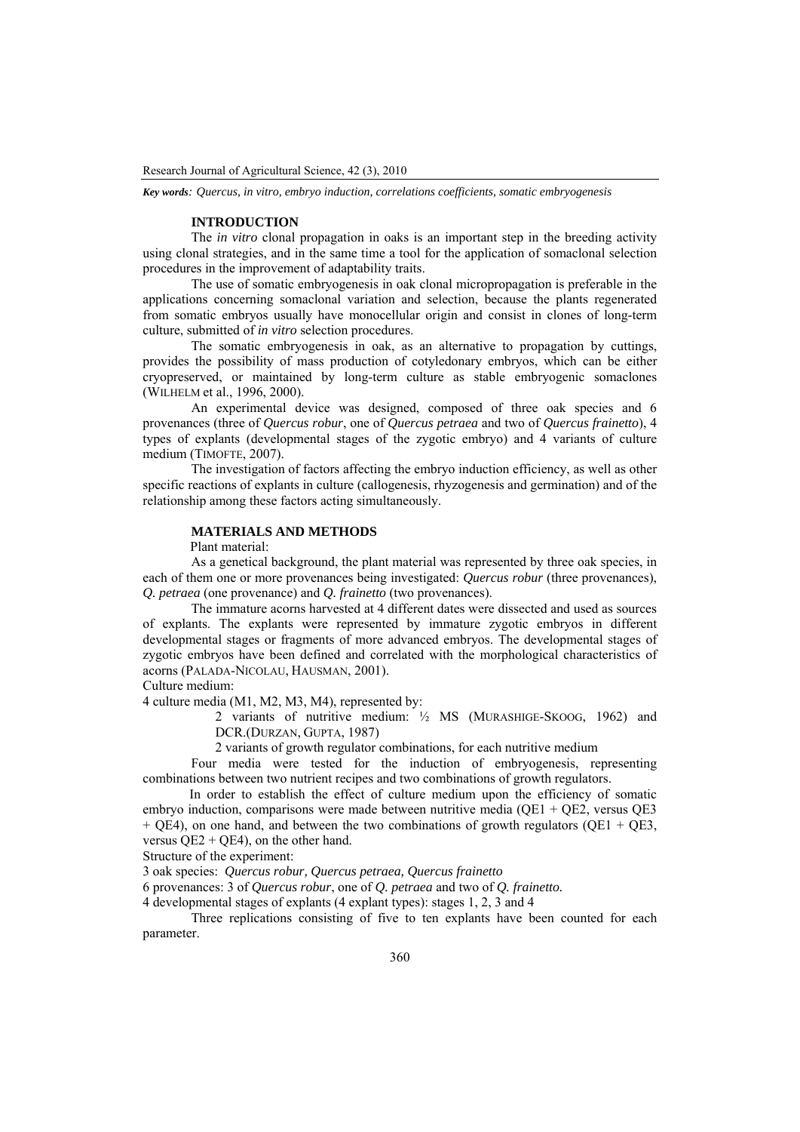*Key words: Quercus, in vitro, embryo induction, correlations coefficients, somatic embryogenesis* 

#### **INTRODUCTION**

The *in vitro* clonal propagation in oaks is an important step in the breeding activity using clonal strategies, and in the same time a tool for the application of somaclonal selection procedures in the improvement of adaptability traits.

The use of somatic embryogenesis in oak clonal micropropagation is preferable in the applications concerning somaclonal variation and selection, because the plants regenerated from somatic embryos usually have monocellular origin and consist in clones of long-term culture, submitted of *in vitro* selection procedures.

The somatic embryogenesis in oak, as an alternative to propagation by cuttings, provides the possibility of mass production of cotyledonary embryos, which can be either cryopreserved, or maintained by long-term culture as stable embryogenic somaclones (WILHELM et al., 1996, 2000).

An experimental device was designed, composed of three oak species and 6 provenances (three of *Quercus robur*, one of *Quercus petraea* and two of *Quercus frainetto*), 4 types of explants (developmental stages of the zygotic embryo) and 4 variants of culture medium (TIMOFTE, 2007).

The investigation of factors affecting the embryo induction efficiency, as well as other specific reactions of explants in culture (callogenesis, rhyzogenesis and germination) and of the relationship among these factors acting simultaneously.

# **MATERIALS AND METHODS**

Plant material:

As a genetical background, the plant material was represented by three oak species, in each of them one or more provenances being investigated: *Quercus robur* (three provenances), *Q. petraea* (one provenance) and *Q. frainetto* (two provenances).

The immature acorns harvested at 4 different dates were dissected and used as sources of explants. The explants were represented by immature zygotic embryos in different developmental stages or fragments of more advanced embryos. The developmental stages of zygotic embryos have been defined and correlated with the morphological characteristics of acorns (PALADA-NICOLAU, HAUSMAN, 2001).

Culture medium:

4 culture media (M1, M2, M3, M4), represented by:

2 variants of nutritive medium: ½ MS (MURASHIGE-SKOOG, 1962) and DCR.(DURZAN, GUPTA, 1987)

2 variants of growth regulator combinations, for each nutritive medium

Four media were tested for the induction of embryogenesis, representing combinations between two nutrient recipes and two combinations of growth regulators.

In order to establish the effect of culture medium upon the efficiency of somatic embryo induction, comparisons were made between nutritive media (QE1 + QE2, versus QE3  $+$  QE4), on one hand, and between the two combinations of growth regulators (QE1 + QE3, versus  $QE2 + QE4$ ), on the other hand.

Structure of the experiment:

3 oak species: *Quercus robur, Quercus petraea, Quercus frainetto*

6 provenances: 3 of *Quercus robur*, one of *Q. petraea* and two of *Q. frainetto.* 

4 developmental stages of explants (4 explant types): stages 1, 2, 3 and 4

Three replications consisting of five to ten explants have been counted for each parameter.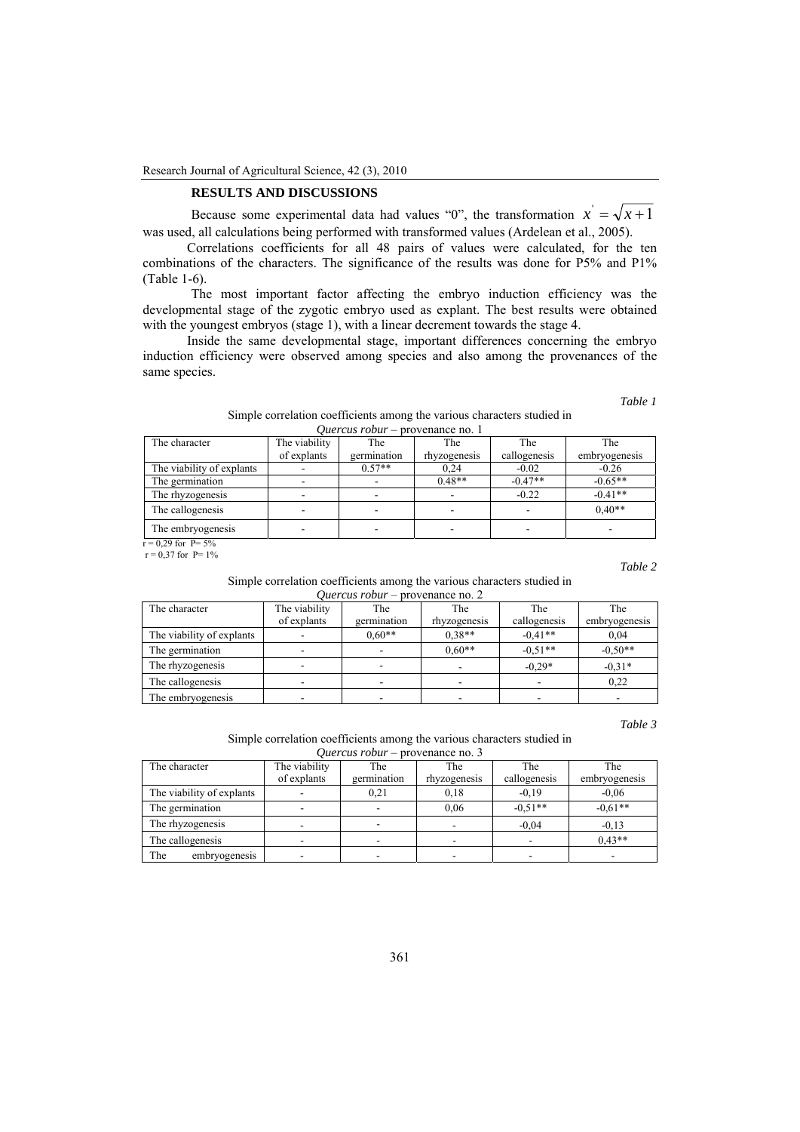### **RESULTS AND DISCUSSIONS**

Because some experimental data had values "0", the transformation  $x' = \sqrt{x+1}$ was used, all calculations being performed with transformed values (Ardelean et al., 2005).

Correlations coefficients for all 48 pairs of values were calculated, for the ten combinations of the characters. The significance of the results was done for P5% and P1% (Table 1-6).

The most important factor affecting the embryo induction efficiency was the developmental stage of the zygotic embryo used as explant. The best results were obtained with the youngest embryos (stage 1), with a linear decrement towards the stage 4.

Inside the same developmental stage, important differences concerning the embryo induction efficiency were observed among species and also among the provenances of the same species.

*Table 1* 

|                                         | Simple correlation coefficients among the various characters studied in |
|-----------------------------------------|-------------------------------------------------------------------------|
| <i>Quercus robur</i> – provenance no. 1 |                                                                         |

| The character             | The viability | The         | The          | The                      | The                      |
|---------------------------|---------------|-------------|--------------|--------------------------|--------------------------|
|                           | of explants   | germination | rhyzogenesis | callogenesis             | embryogenesis            |
| The viability of explants |               | $0.57**$    | 0,24         | $-0.02$                  | $-0.26$                  |
| The germination           |               |             | $0.48**$     | $-0.47**$                | $-0.65**$                |
| The rhyzogenesis          |               |             |              | $-0.22$                  | $-0.41**$                |
| The callogenesis          |               | ۰           | -            | $\overline{\phantom{a}}$ | $0.40**$                 |
| The embryogenesis         |               |             | -            |                          | $\overline{\phantom{a}}$ |

 $r = 0,29$  for P= 5%  $r = 0.37$  for P= 1%

*Table 2* 

Simple correlation coefficients among the various characters studied in *Quercus robur* – provenance no. 2

| The character             | The viability            | The         | The                      | The          | The           |
|---------------------------|--------------------------|-------------|--------------------------|--------------|---------------|
|                           | of explants              | germination | rhyzogenesis             | callogenesis | embryogenesis |
| The viability of explants |                          | $0.60**$    | $0.38**$                 | $-0.41**$    | 0.04          |
| The germination           | ۰                        |             | $0.60**$                 | $-0.51**$    | $-0.50**$     |
| The rhyzogenesis          |                          |             |                          | $-0.29*$     | $-0.31*$      |
| The callogenesis          |                          |             | $\overline{\phantom{0}}$ |              | 0.22          |
| The embryogenesis         | $\overline{\phantom{a}}$ |             |                          |              |               |

*Table 3* 

Simple correlation coefficients among the various characters studied in *Quercus robur* – provenance no. 3

| The character             | The viability | The         | The          | The          | The           |
|---------------------------|---------------|-------------|--------------|--------------|---------------|
|                           | of explants   | germination | rhyzogenesis | callogenesis | embryogenesis |
| The viability of explants |               | 0,21        | 0.18         | $-0.19$      | $-0.06$       |
| The germination           |               |             | 0.06         | $-0.51**$    | $-0.61**$     |
| The rhyzogenesis          |               |             |              | $-0.04$      | $-0.13$       |
| The callogenesis          |               |             |              |              | $0.43**$      |
| The<br>embryogenesis      |               |             |              |              |               |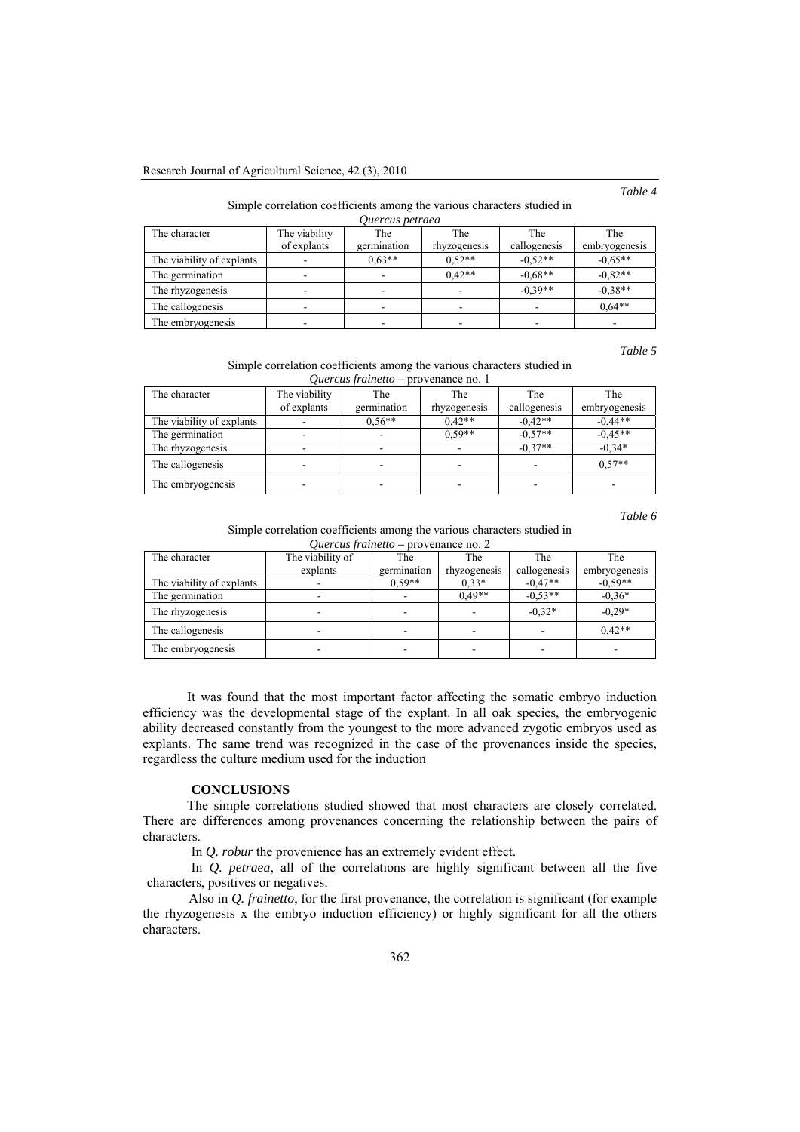*Table 4* 

#### Simple correlation coefficients among the various characters studied in *Quercus petraea*

| <i>Uncreas perrueu</i>    |               |             |                          |              |               |  |
|---------------------------|---------------|-------------|--------------------------|--------------|---------------|--|
| The character             | The viability | The         | The                      | The          | The           |  |
|                           | of explants   | germination | rhyzogenesis             | callogenesis | embryogenesis |  |
| The viability of explants |               | $0.63**$    | $0.52**$                 | $-0.52**$    | $-0.65**$     |  |
| The germination           |               |             | $0.42**$                 | $-0.68**$    | $-0.82**$     |  |
| The rhyzogenesis          |               |             | $\overline{\phantom{0}}$ | $-0.39**$    | $-0.38**$     |  |
| The callogenesis          |               |             |                          |              | $0.64**$      |  |
| The embryogenesis         |               |             |                          | -            |               |  |

*Table 5* 

Simple correlation coefficients among the various characters studied in *Quercus frainetto –* provenance no. 1

| The character             | The viability | The         | The          | The          | The           |
|---------------------------|---------------|-------------|--------------|--------------|---------------|
|                           | of explants   | germination | rhyzogenesis | callogenesis | embryogenesis |
| The viability of explants |               | $0.56**$    | $0.42**$     | $-0.42**$    | $-0.44**$     |
| The germination           |               |             | $0.59**$     | $-0.57**$    | $-0.45**$     |
| The rhyzogenesis          |               |             |              | $-0.37**$    | $-0.34*$      |
| The callogenesis          |               |             |              |              | $0.57**$      |
| The embryogenesis         |               |             |              |              |               |

*Table 6* 

Simple correlation coefficients among the various characters studied in *Quercus frainetto –* provenance no. 2

| The character             | The viability of | The         | The          | The          | The           |
|---------------------------|------------------|-------------|--------------|--------------|---------------|
|                           | explants         | germination | rhyzogenesis | callogenesis | embryogenesis |
| The viability of explants |                  | $0.59**$    | $0.33*$      | $-0.47**$    | $-0.59**$     |
| The germination           |                  |             | $0.49**$     | $-0.53**$    | $-0.36*$      |
| The rhyzogenesis          |                  | -           |              | $-0.32*$     | $-0.29*$      |
| The callogenesis          |                  | ۰           | ۰            | ۰            | $0.42**$      |
| The embryogenesis         |                  |             |              |              |               |

It was found that the most important factor affecting the somatic embryo induction efficiency was the developmental stage of the explant. In all oak species, the embryogenic ability decreased constantly from the youngest to the more advanced zygotic embryos used as explants. The same trend was recognized in the case of the provenances inside the species, regardless the culture medium used for the induction

#### **CONCLUSIONS**

The simple correlations studied showed that most characters are closely correlated. There are differences among provenances concerning the relationship between the pairs of characters.

In *Q. robur* the provenience has an extremely evident effect.

In *Q. petraea*, all of the correlations are highly significant between all the five characters, positives or negatives.

Also in *Q. frainetto*, for the first provenance, the correlation is significant (for example the rhyzogenesis x the embryo induction efficiency) or highly significant for all the others characters.